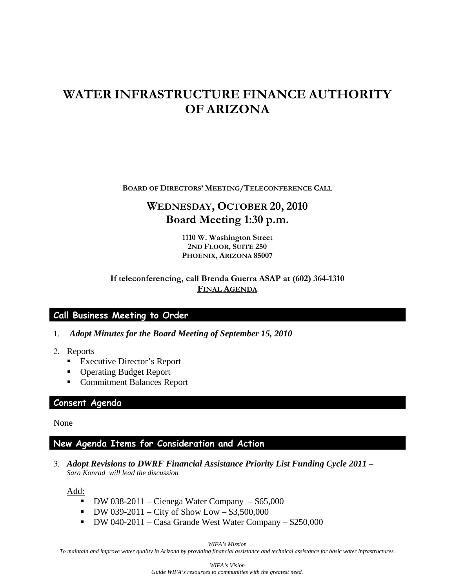# **WATER INFRASTRUCTURE FINANCE AUTHORITY OF ARIZONA**

**BOARD OF DIRECTORS' MEETING/TELECONFERENCE CALL**

## **WEDNESDAY, OCTOBER 20, 2010 Board Meeting 1:30 p.m.**

**1110 W. Washington Street 2ND FLOOR, SUITE 250 PHOENIX, ARIZONA 85007** 

#### **If teleconferencing, call Brenda Guerra ASAP at (602) 364-1310 FINAL AGENDA**

#### **Call Business Meeting to Order**

- 1. *Adopt Minutes for the Board Meeting of September 15, 2010*
- 2. Reports
	- Executive Director's Report
	- Operating Budget Report
	- **Commitment Balances Report**

#### **Consent Agenda**

None

### **New Agenda Items for Consideration and Action**

3. *Adopt Revisions to DWRF Financial Assistance Priority List Funding Cycle 2011* – *Sara Konrad will lead the discussion*

Add:

- $\bullet$  DW 038-2011 Cienega Water Company \$65,000
- $\blacksquare$  DW 039-2011 City of Show Low \$3,500,000
- DW 040-2011 Casa Grande West Water Company \$250,000

*WIFA's Mission* 

*To maintain and improve water quality in Arizona by providing financial assistance and technical assistance for basic water infrastructures.*